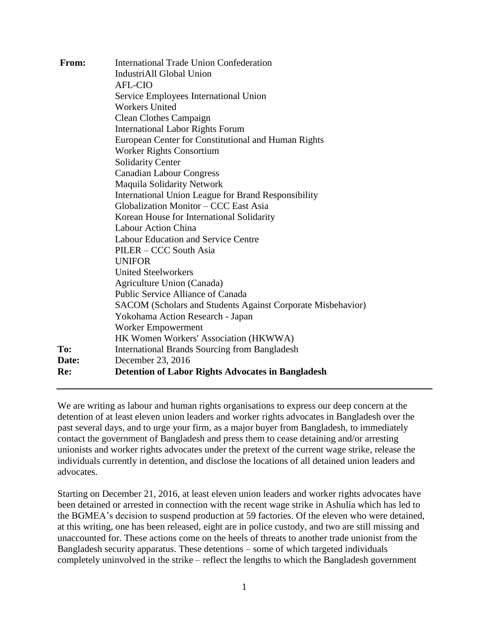| <b>AFL-CIO</b><br>Service Employees International Union<br><b>Workers United</b><br><b>Clean Clothes Campaign</b><br><b>International Labor Rights Forum</b><br>European Center for Constitutional and Human Rights<br><b>Worker Rights Consortium</b><br><b>Solidarity Center</b><br><b>Canadian Labour Congress</b><br><b>Maquila Solidarity Network</b><br>International Union League for Brand Responsibility<br>Globalization Monitor - CCC East Asia<br>Korean House for International Solidarity<br>Labour Action China<br><b>Labour Education and Service Centre</b><br>PILER - CCC South Asia<br><b>UNIFOR</b><br><b>United Steelworkers</b><br>Agriculture Union (Canada)<br>Public Service Alliance of Canada<br>SACOM (Scholars and Students Against Corporate Misbehavior)<br>Yokohama Action Research - Japan<br>Worker Empowerment<br>HK Women Workers' Association (HKWWA)<br>To:<br><b>International Brands Sourcing from Bangladesh</b><br>December 23, 2016<br><b>Date:</b><br><b>Detention of Labor Rights Advocates in Bangladesh</b><br>Re: | From: | <b>International Trade Union Confederation</b> |
|-------------------------------------------------------------------------------------------------------------------------------------------------------------------------------------------------------------------------------------------------------------------------------------------------------------------------------------------------------------------------------------------------------------------------------------------------------------------------------------------------------------------------------------------------------------------------------------------------------------------------------------------------------------------------------------------------------------------------------------------------------------------------------------------------------------------------------------------------------------------------------------------------------------------------------------------------------------------------------------------------------------------------------------------------------------------|-------|------------------------------------------------|
|                                                                                                                                                                                                                                                                                                                                                                                                                                                                                                                                                                                                                                                                                                                                                                                                                                                                                                                                                                                                                                                                   |       | IndustriAll Global Union                       |
|                                                                                                                                                                                                                                                                                                                                                                                                                                                                                                                                                                                                                                                                                                                                                                                                                                                                                                                                                                                                                                                                   |       |                                                |
|                                                                                                                                                                                                                                                                                                                                                                                                                                                                                                                                                                                                                                                                                                                                                                                                                                                                                                                                                                                                                                                                   |       |                                                |
|                                                                                                                                                                                                                                                                                                                                                                                                                                                                                                                                                                                                                                                                                                                                                                                                                                                                                                                                                                                                                                                                   |       |                                                |
|                                                                                                                                                                                                                                                                                                                                                                                                                                                                                                                                                                                                                                                                                                                                                                                                                                                                                                                                                                                                                                                                   |       |                                                |
|                                                                                                                                                                                                                                                                                                                                                                                                                                                                                                                                                                                                                                                                                                                                                                                                                                                                                                                                                                                                                                                                   |       |                                                |
|                                                                                                                                                                                                                                                                                                                                                                                                                                                                                                                                                                                                                                                                                                                                                                                                                                                                                                                                                                                                                                                                   |       |                                                |
|                                                                                                                                                                                                                                                                                                                                                                                                                                                                                                                                                                                                                                                                                                                                                                                                                                                                                                                                                                                                                                                                   |       |                                                |
|                                                                                                                                                                                                                                                                                                                                                                                                                                                                                                                                                                                                                                                                                                                                                                                                                                                                                                                                                                                                                                                                   |       |                                                |
|                                                                                                                                                                                                                                                                                                                                                                                                                                                                                                                                                                                                                                                                                                                                                                                                                                                                                                                                                                                                                                                                   |       |                                                |
|                                                                                                                                                                                                                                                                                                                                                                                                                                                                                                                                                                                                                                                                                                                                                                                                                                                                                                                                                                                                                                                                   |       |                                                |
|                                                                                                                                                                                                                                                                                                                                                                                                                                                                                                                                                                                                                                                                                                                                                                                                                                                                                                                                                                                                                                                                   |       |                                                |
|                                                                                                                                                                                                                                                                                                                                                                                                                                                                                                                                                                                                                                                                                                                                                                                                                                                                                                                                                                                                                                                                   |       |                                                |
|                                                                                                                                                                                                                                                                                                                                                                                                                                                                                                                                                                                                                                                                                                                                                                                                                                                                                                                                                                                                                                                                   |       |                                                |
|                                                                                                                                                                                                                                                                                                                                                                                                                                                                                                                                                                                                                                                                                                                                                                                                                                                                                                                                                                                                                                                                   |       |                                                |
|                                                                                                                                                                                                                                                                                                                                                                                                                                                                                                                                                                                                                                                                                                                                                                                                                                                                                                                                                                                                                                                                   |       |                                                |
|                                                                                                                                                                                                                                                                                                                                                                                                                                                                                                                                                                                                                                                                                                                                                                                                                                                                                                                                                                                                                                                                   |       |                                                |
|                                                                                                                                                                                                                                                                                                                                                                                                                                                                                                                                                                                                                                                                                                                                                                                                                                                                                                                                                                                                                                                                   |       |                                                |
|                                                                                                                                                                                                                                                                                                                                                                                                                                                                                                                                                                                                                                                                                                                                                                                                                                                                                                                                                                                                                                                                   |       |                                                |
|                                                                                                                                                                                                                                                                                                                                                                                                                                                                                                                                                                                                                                                                                                                                                                                                                                                                                                                                                                                                                                                                   |       |                                                |
|                                                                                                                                                                                                                                                                                                                                                                                                                                                                                                                                                                                                                                                                                                                                                                                                                                                                                                                                                                                                                                                                   |       |                                                |
|                                                                                                                                                                                                                                                                                                                                                                                                                                                                                                                                                                                                                                                                                                                                                                                                                                                                                                                                                                                                                                                                   |       |                                                |
|                                                                                                                                                                                                                                                                                                                                                                                                                                                                                                                                                                                                                                                                                                                                                                                                                                                                                                                                                                                                                                                                   |       |                                                |
|                                                                                                                                                                                                                                                                                                                                                                                                                                                                                                                                                                                                                                                                                                                                                                                                                                                                                                                                                                                                                                                                   |       |                                                |
|                                                                                                                                                                                                                                                                                                                                                                                                                                                                                                                                                                                                                                                                                                                                                                                                                                                                                                                                                                                                                                                                   |       |                                                |
|                                                                                                                                                                                                                                                                                                                                                                                                                                                                                                                                                                                                                                                                                                                                                                                                                                                                                                                                                                                                                                                                   |       |                                                |
|                                                                                                                                                                                                                                                                                                                                                                                                                                                                                                                                                                                                                                                                                                                                                                                                                                                                                                                                                                                                                                                                   |       |                                                |

We are writing as labour and human rights organisations to express our deep concern at the detention of at least eleven union leaders and worker rights advocates in Bangladesh over the past several days, and to urge your firm, as a major buyer from Bangladesh, to immediately contact the government of Bangladesh and press them to cease detaining and/or arresting unionists and worker rights advocates under the pretext of the current wage strike, release the individuals currently in detention, and disclose the locations of all detained union leaders and advocates.

Starting on December 21, 2016, at least eleven union leaders and worker rights advocates have been detained or arrested in connection with the recent wage strike in Ashulia which has led to the BGMEA's decision to suspend production at 59 factories. Of the eleven who were detained, at this writing, one has been released, eight are in police custody, and two are still missing and unaccounted for. These actions come on the heels of threats to another trade unionist from the Bangladesh security apparatus. These detentions – some of which targeted individuals completely uninvolved in the strike – reflect the lengths to which the Bangladesh government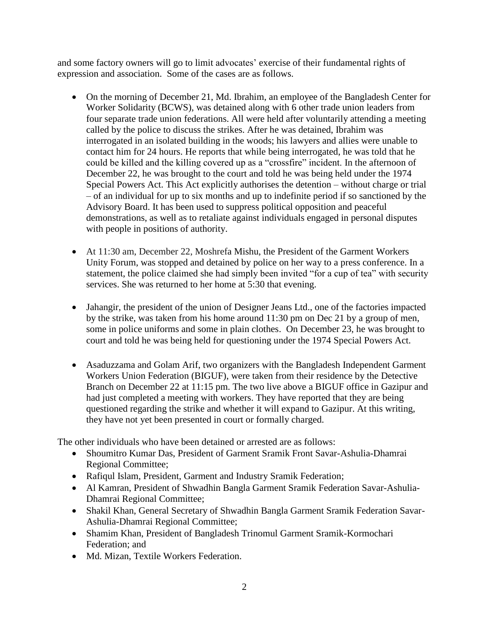and some factory owners will go to limit advocates' exercise of their fundamental rights of expression and association. Some of the cases are as follows.

- On the morning of December 21, Md. Ibrahim, an employee of the Bangladesh Center for Worker Solidarity (BCWS), was detained along with 6 other trade union leaders from four separate trade union federations. All were held after voluntarily attending a meeting called by the police to discuss the strikes. After he was detained, Ibrahim was interrogated in an isolated building in the woods; his lawyers and allies were unable to contact him for 24 hours. He reports that while being interrogated, he was told that he could be killed and the killing covered up as a "crossfire" incident. In the afternoon of December 22, he was brought to the court and told he was being held under the 1974 Special Powers Act. This Act explicitly authorises the detention – without charge or trial – of an individual for up to six months and up to indefinite period if so sanctioned by the Advisory Board. It has been used to suppress political opposition and peaceful demonstrations, as well as to retaliate against individuals engaged in personal disputes with people in positions of authority.
- At 11:30 am, December 22, Moshrefa Mishu, the President of the Garment Workers Unity Forum, was stopped and detained by police on her way to a press conference. In a statement, the police claimed she had simply been invited "for a cup of tea" with security services. She was returned to her home at 5:30 that evening.
- Jahangir, the president of the union of Designer Jeans Ltd., one of the factories impacted by the strike, was taken from his home around 11:30 pm on Dec 21 by a group of men, some in police uniforms and some in plain clothes. On December 23, he was brought to court and told he was being held for questioning under the 1974 Special Powers Act.
- Asaduzzama and Golam Arif, two organizers with the Bangladesh Independent Garment Workers Union Federation (BIGUF), were taken from their residence by the Detective Branch on December 22 at 11:15 pm. The two live above a BIGUF office in Gazipur and had just completed a meeting with workers. They have reported that they are being questioned regarding the strike and whether it will expand to Gazipur. At this writing, they have not yet been presented in court or formally charged.

The other individuals who have been detained or arrested are as follows:

- Shoumitro Kumar Das, President of Garment Sramik Front Savar-Ashulia-Dhamrai Regional Committee;
- Rafiqul Islam, President, Garment and Industry Sramik Federation;
- Al Kamran, President of Shwadhin Bangla Garment Sramik Federation Savar-Ashulia-Dhamrai Regional Committee;
- Shakil Khan, General Secretary of Shwadhin Bangla Garment Sramik Federation Savar-Ashulia-Dhamrai Regional Committee;
- Shamim Khan, President of Bangladesh Trinomul Garment Sramik-Kormochari Federation; and
- Md. Mizan, Textile Workers Federation.